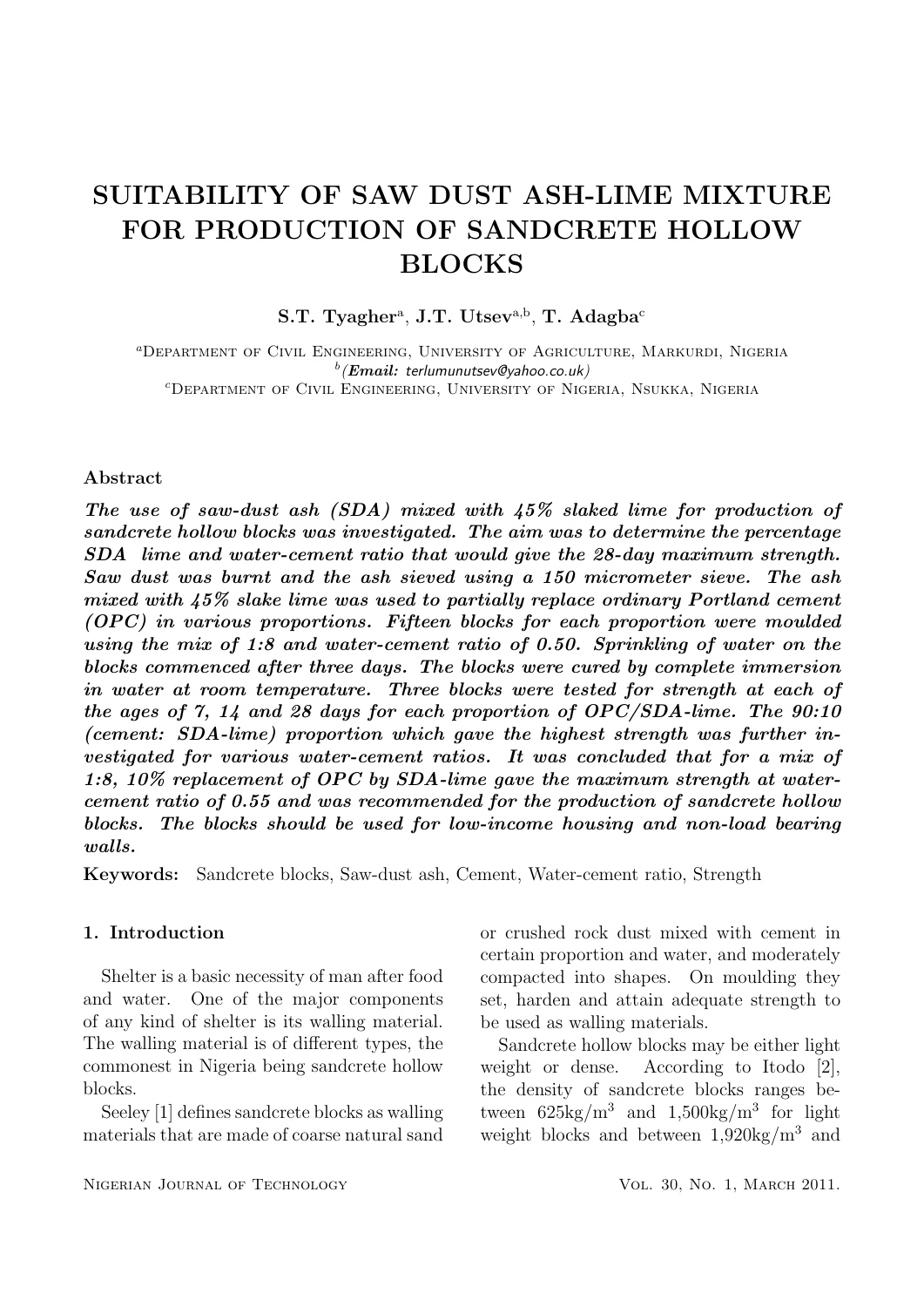# SUITABILITY OF SAW DUST ASH-LIME MIXTURE FOR PRODUCTION OF SANDCRETE HOLLOW **BLOCKS**

 $S.T. Tyagher<sup>a</sup>, J.T. Utsev<sup>a,b</sup>, T. Adagba<sup>c</sup>$ 

aDepartment of Civil Engineering, University of Agriculture, Markurdi, Nigeria  $^b(\boldsymbol{Email:}$  terlumunutsev@yahoo.co.uk) cDepartment of Civil Engineering, University of Nigeria, Nsukka, Nigeria

## Abstract

The use of saw-dust ash (SDA) mixed with 45% slaked lime for production of sandcrete hollow blocks was investigated. The aim was to determine the percentage SDA lime and water-cement ratio that would give the 28-day maximum strength. Saw dust was burnt and the ash sieved using a 150 micrometer sieve. The ash mixed with 45% slake lime was used to partially replace ordinary Portland cement (OPC) in various proportions. Fifteen blocks for each proportion were moulded using the mix of 1:8 and water-cement ratio of 0.50. Sprinkling of water on the blocks commenced after three days. The blocks were cured by complete immersion in water at room temperature. Three blocks were tested for strength at each of the ages of 7, 14 and 28 days for each proportion of OPC/SDA-lime. The 90:10 (cement: SDA-lime) proportion which gave the highest strength was further investigated for various water-cement ratios. It was concluded that for a mix of 1:8, 10% replacement of OPC by SDA-lime gave the maximum strength at watercement ratio of 0.55 and was recommended for the production of sandcrete hollow blocks. The blocks should be used for low-income housing and non-load bearing walls.

Keywords: Sandcrete blocks, Saw-dust ash, Cement, Water-cement ratio, Strength

#### 1. Introduction

Shelter is a basic necessity of man after food and water. One of the major components of any kind of shelter is its walling material. The walling material is of different types, the commonest in Nigeria being sandcrete hollow blocks.

Seeley [1] defines sandcrete blocks as walling materials that are made of coarse natural sand

or crushed rock dust mixed with cement in certain proportion and water, and moderately compacted into shapes. On moulding they set, harden and attain adequate strength to be used as walling materials.

Sandcrete hollow blocks may be either light weight or dense. According to Itodo [2], the density of sandcrete blocks ranges between  $625\text{kg/m}^3$  and  $1,500\text{kg/m}^3$  for light weight blocks and between 1,920kg/m<sup>3</sup> and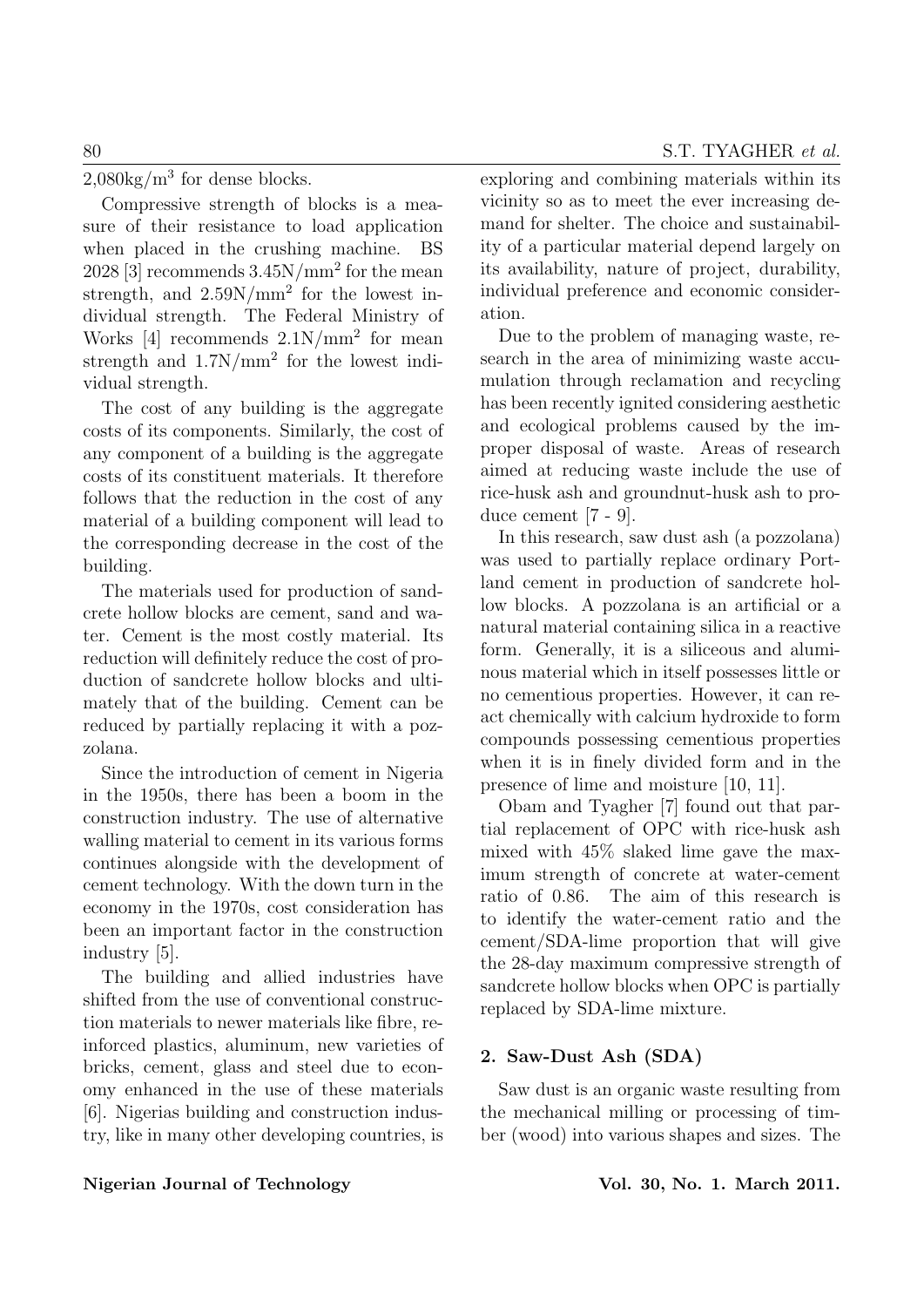$2,080\text{kg/m}^3$  for dense blocks.

Compressive strength of blocks is a measure of their resistance to load application when placed in the crushing machine. BS  $2028$  [3] recommends  $3.45N/mm^2$  for the mean strength, and  $2.59N/mm^2$  for the lowest individual strength. The Federal Ministry of Works  $[4]$  recommends  $2.1N/mm^2$  for mean strength and  $1.7N/mm^2$  for the lowest individual strength.

The cost of any building is the aggregate costs of its components. Similarly, the cost of any component of a building is the aggregate costs of its constituent materials. It therefore follows that the reduction in the cost of any material of a building component will lead to the corresponding decrease in the cost of the building.

The materials used for production of sandcrete hollow blocks are cement, sand and water. Cement is the most costly material. Its reduction will definitely reduce the cost of production of sandcrete hollow blocks and ultimately that of the building. Cement can be reduced by partially replacing it with a pozzolana.

Since the introduction of cement in Nigeria in the 1950s, there has been a boom in the construction industry. The use of alternative walling material to cement in its various forms continues alongside with the development of cement technology. With the down turn in the economy in the 1970s, cost consideration has been an important factor in the construction industry [5].

The building and allied industries have shifted from the use of conventional construction materials to newer materials like fibre, reinforced plastics, aluminum, new varieties of bricks, cement, glass and steel due to economy enhanced in the use of these materials [6]. Nigerias building and construction industry, like in many other developing countries, is exploring and combining materials within its vicinity so as to meet the ever increasing demand for shelter. The choice and sustainability of a particular material depend largely on its availability, nature of project, durability, individual preference and economic consideration.

Due to the problem of managing waste, research in the area of minimizing waste accumulation through reclamation and recycling has been recently ignited considering aesthetic and ecological problems caused by the improper disposal of waste. Areas of research aimed at reducing waste include the use of rice-husk ash and groundnut-husk ash to produce cement [7 - 9].

In this research, saw dust ash (a pozzolana) was used to partially replace ordinary Portland cement in production of sandcrete hollow blocks. A pozzolana is an artificial or a natural material containing silica in a reactive form. Generally, it is a siliceous and aluminous material which in itself possesses little or no cementious properties. However, it can react chemically with calcium hydroxide to form compounds possessing cementious properties when it is in finely divided form and in the presence of lime and moisture [10, 11].

Obam and Tyagher [7] found out that partial replacement of OPC with rice-husk ash mixed with 45% slaked lime gave the maximum strength of concrete at water-cement ratio of 0.86. The aim of this research is to identify the water-cement ratio and the cement/SDA-lime proportion that will give the 28-day maximum compressive strength of sandcrete hollow blocks when OPC is partially replaced by SDA-lime mixture.

# 2. Saw-Dust Ash (SDA)

Saw dust is an organic waste resulting from the mechanical milling or processing of timber (wood) into various shapes and sizes. The

# Nigerian Journal of Technology Vol. 30, No. 1. March 2011.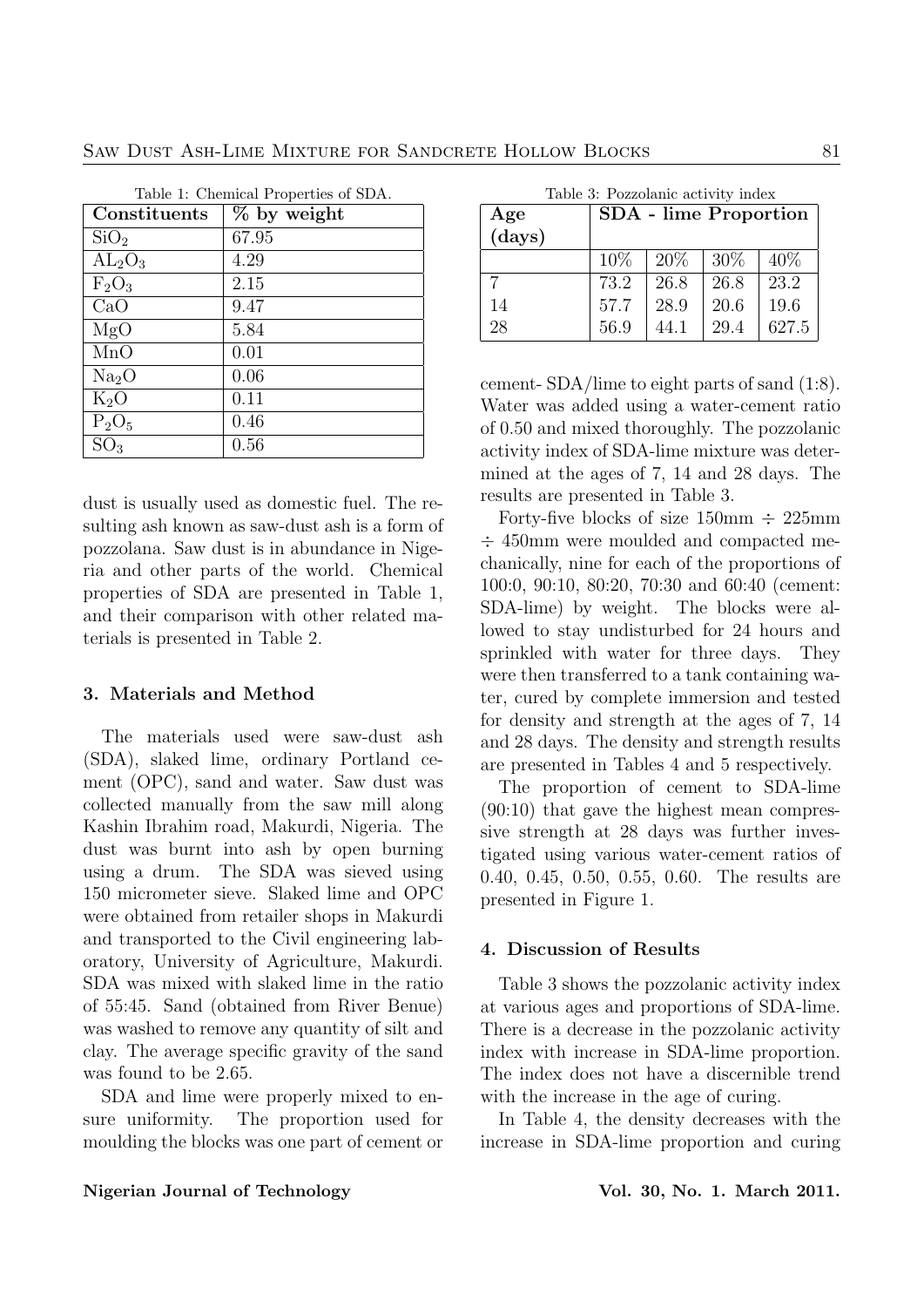| Table 1: Chemical Properties of SDA. |             |  |  |  |  |
|--------------------------------------|-------------|--|--|--|--|
| Constituents                         | % by weight |  |  |  |  |
| SiO <sub>2</sub>                     | 67.95       |  |  |  |  |
| $AL_2O_3$                            | 4.29        |  |  |  |  |
| $F_2O_3$                             | 2.15        |  |  |  |  |
| CaO                                  | 9.47        |  |  |  |  |
| MgO                                  | 5.84        |  |  |  |  |
| MnO                                  | 0.01        |  |  |  |  |
| Na <sub>2</sub> O                    | 0.06        |  |  |  |  |
| $K_2O$                               | 0.11        |  |  |  |  |
| $P_2O_5$                             | 0.46        |  |  |  |  |
| SO <sub>3</sub>                      | 0.56        |  |  |  |  |

dust is usually used as domestic fuel. The resulting ash known as saw-dust ash is a form of pozzolana. Saw dust is in abundance in Nigeria and other parts of the world. Chemical properties of SDA are presented in Table 1, and their comparison with other related materials is presented in Table 2.

# 3. Materials and Method

The materials used were saw-dust ash (SDA), slaked lime, ordinary Portland cement (OPC), sand and water. Saw dust was collected manually from the saw mill along Kashin Ibrahim road, Makurdi, Nigeria. The dust was burnt into ash by open burning using a drum. The SDA was sieved using 150 micrometer sieve. Slaked lime and OPC were obtained from retailer shops in Makurdi and transported to the Civil engineering laboratory, University of Agriculture, Makurdi. SDA was mixed with slaked lime in the ratio of 55:45. Sand (obtained from River Benue) was washed to remove any quantity of silt and clay. The average specific gravity of the sand was found to be 2.65.

SDA and lime were properly mixed to ensure uniformity. The proportion used for moulding the blocks was one part of cement or

Table 3: Pozzolanic activity index

| Age    | <b>SDA</b> - lime Proportion |      |        |        |  |  |
|--------|------------------------------|------|--------|--------|--|--|
| (days) |                              |      |        |        |  |  |
|        | $10\%$                       | 20%  | $30\%$ | $40\%$ |  |  |
| 7      | 73.2                         | 26.8 | 26.8   | 23.2   |  |  |
| 14     | 57.7                         | 28.9 | 20.6   | 19.6   |  |  |
| 28     | 56.9                         | 44.1 | 29.4   | 627.5  |  |  |

cement- SDA/lime to eight parts of sand (1:8). Water was added using a water-cement ratio of 0.50 and mixed thoroughly. The pozzolanic activity index of SDA-lime mixture was determined at the ages of 7, 14 and 28 days. The results are presented in Table 3.

Forty-five blocks of size  $150 \text{mm} \div 225 \text{mm}$ ÷ 450mm were moulded and compacted mechanically, nine for each of the proportions of 100:0, 90:10, 80:20, 70:30 and 60:40 (cement: SDA-lime) by weight. The blocks were allowed to stay undisturbed for 24 hours and sprinkled with water for three days. They were then transferred to a tank containing water, cured by complete immersion and tested for density and strength at the ages of 7, 14 and 28 days. The density and strength results are presented in Tables 4 and 5 respectively.

The proportion of cement to SDA-lime (90:10) that gave the highest mean compressive strength at 28 days was further investigated using various water-cement ratios of 0.40, 0.45, 0.50, 0.55, 0.60. The results are presented in Figure 1.

## 4. Discussion of Results

Table 3 shows the pozzolanic activity index at various ages and proportions of SDA-lime. There is a decrease in the pozzolanic activity index with increase in SDA-lime proportion. The index does not have a discernible trend with the increase in the age of curing.

In Table 4, the density decreases with the increase in SDA-lime proportion and curing

#### Nigerian Journal of Technology **Vol. 30, No. 1. March 2011**.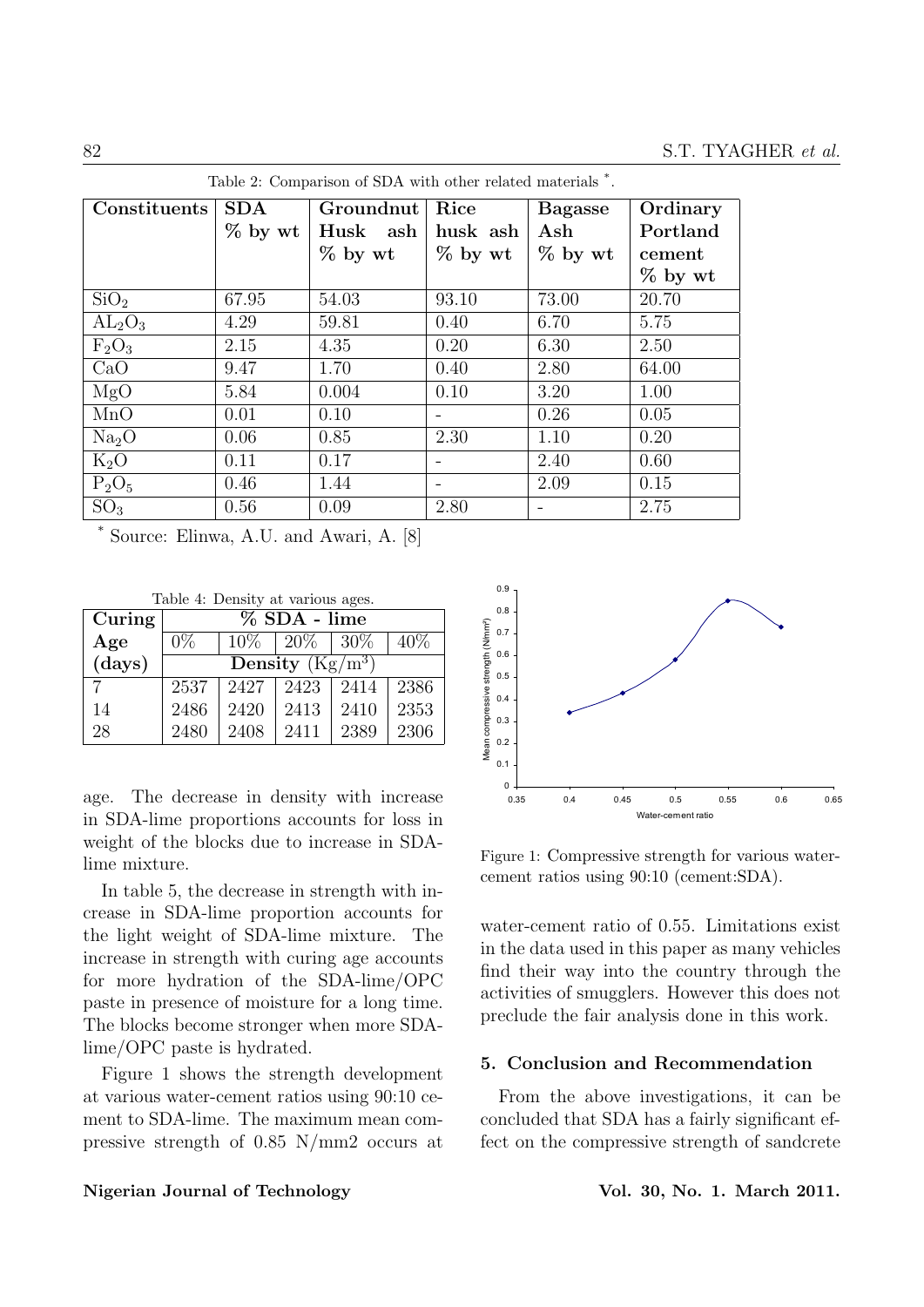| $\mu$ and $\mu$ . Comparison or $\mu$ $\mu$ with other related materials $\mu$ . |           |           |                          |                |           |  |
|----------------------------------------------------------------------------------|-----------|-----------|--------------------------|----------------|-----------|--|
| Constituents                                                                     | SDA       | Groundnut | Rice                     | <b>Bagasse</b> | Ordinary  |  |
|                                                                                  | $%$ by wt | Husk ash  | husk ash                 | Ash            | Portland  |  |
|                                                                                  |           | $%$ by wt | $%$ by wt                | $%$ by wt      | cement    |  |
|                                                                                  |           |           |                          |                | $%$ by wt |  |
| SiO <sub>2</sub>                                                                 | 67.95     | 54.03     | 93.10                    | 73.00          | 20.70     |  |
| $AL_2O_3$                                                                        | 4.29      | 59.81     | 0.40                     | 6.70           | 5.75      |  |
| $F_2O_3$                                                                         | 2.15      | 4.35      | 0.20                     | 6.30           | 2.50      |  |
| CaO                                                                              | 9.47      | 1.70      | 0.40                     | 2.80           | 64.00     |  |
| MgO                                                                              | 5.84      | 0.004     | 0.10                     | 3.20           | 1.00      |  |
| MnO                                                                              | 0.01      | 0.10      |                          | 0.26           | 0.05      |  |
| Na <sub>2</sub> O                                                                | 0.06      | 0.85      | 2.30                     | 1.10           | 0.20      |  |
| $K_2O$                                                                           | 0.11      | 0.17      | $\qquad \qquad -$        | 2.40           | 0.60      |  |
| $P_2O_5$                                                                         | 0.46      | 1.44      | $\overline{\phantom{a}}$ | 2.09           | 0.15      |  |
| SO <sub>3</sub>                                                                  | 0.56      | 0.09      | 2.80                     |                | 2.75      |  |

 $T$  arison of  $SDA$  with other related materials .

Source: Elinwa, A.U. and Awari, A. [8]

Table 4: Density at various ages.

| Curing | $%$ SDA - lime                                  |        |                 |      |      |  |  |
|--------|-------------------------------------------------|--------|-----------------|------|------|--|--|
| Age    | $0\%$                                           | $10\%$ | $20\%$   $30\%$ |      | 40%  |  |  |
| (days) | Density $(\overline{\mathrm{Kg}/\mathrm{m}^3})$ |        |                 |      |      |  |  |
| ⇁      | 2537                                            | 2427   | 2423            | 2414 | 2386 |  |  |
| 14     | 2486                                            | 2420   | 2413            | 2410 | 2353 |  |  |
| 28     | 2480                                            | 2408   | 2411            | 2389 | 2306 |  |  |

age. The decrease in density with increase in SDA-lime proportions accounts for loss in weight of the blocks due to increase in SDAlime mixture.

In table 5, the decrease in strength with increase in SDA-lime proportion accounts for the light weight of SDA-lime mixture. The increase in strength with curing age accounts for more hydration of the SDA-lime/OPC paste in presence of moisture for a long time. The blocks become stronger when more SDAlime/OPC paste is hydrated.

Figure 1 shows the strength development at various water-cement ratios using 90:10 cement to SDA-lime. The maximum mean compressive strength of 0.85 N/mm2 occurs at



Figure 1: Compressive strength for various watercement ratios using 90:10 (cement:SDA).

water-cement ratio of 0.55. Limitations exist in the data used in this paper as many vehicles find their way into the country through the activities of smugglers. However this does not preclude the fair analysis done in this work.

## 5. Conclusion and Recommendation

From the above investigations, it can be concluded that SDA has a fairly significant effect on the compressive strength of sandcrete

#### Nigerian Journal of Technology **Vol. 30, No. 1. March 2011**.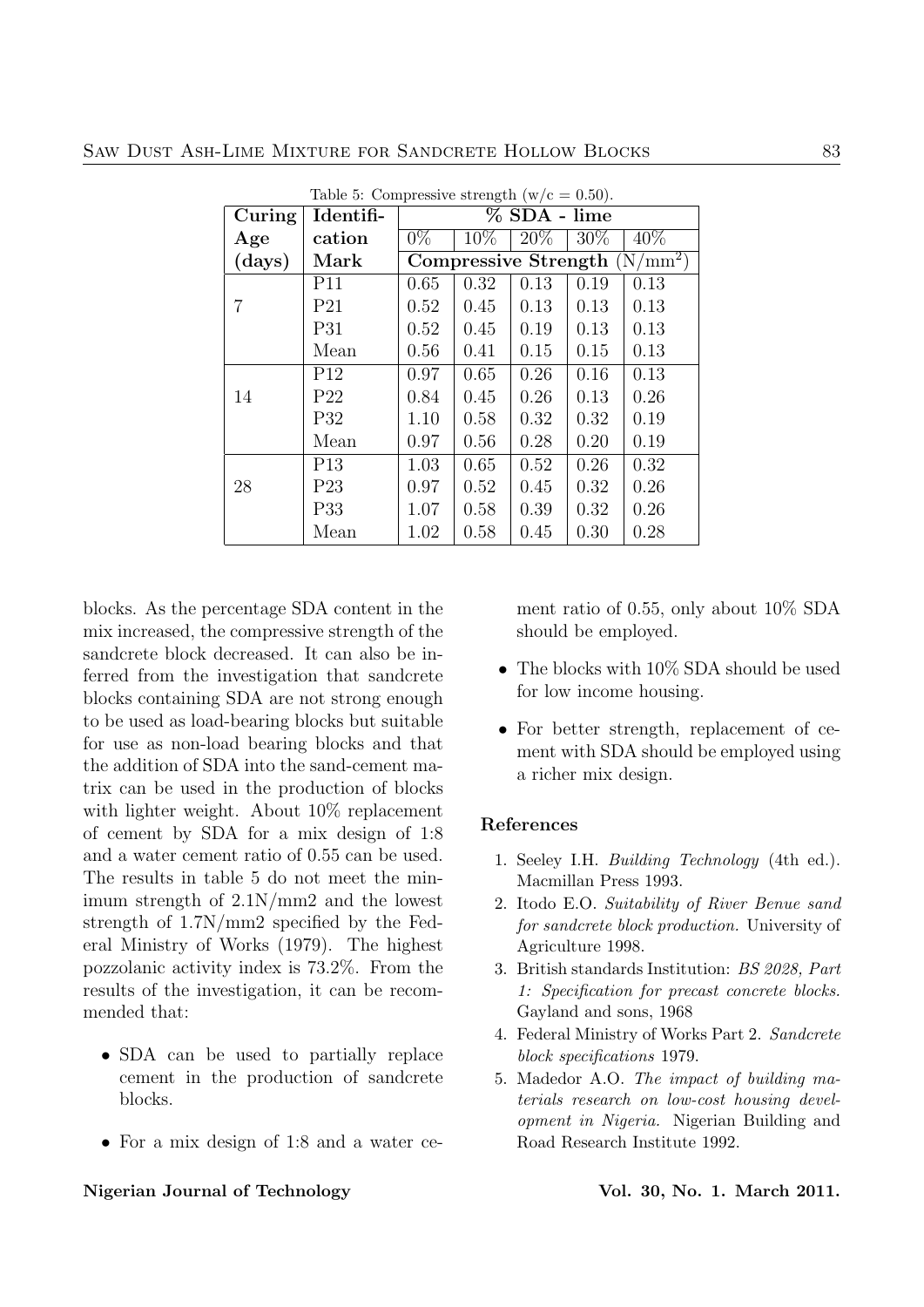| Curing | Identifi-       | Table 5: Compressive strength $(w/c = 0.50)$ .<br>% SDA - lime |        |        |        |        |  |
|--------|-----------------|----------------------------------------------------------------|--------|--------|--------|--------|--|
| Age    | cation          | $0\%$                                                          | $10\%$ | $20\%$ | $30\%$ | $40\%$ |  |
| (days) | Mark            | Compressive Strength $(N/mm^2)$                                |        |        |        |        |  |
|        | P <sub>11</sub> | 0.65                                                           | 0.32   | 0.13   | 0.19   | 0.13   |  |
| 7      | P <sub>21</sub> | 0.52                                                           | 0.45   | 0.13   | 0.13   | 0.13   |  |
|        | P31             | 0.52                                                           | 0.45   | 0.19   | 0.13   | 0.13   |  |
|        | Mean            | 0.56                                                           | 0.41   | 0.15   | 0.15   | 0.13   |  |
|        | P12             | 0.97                                                           | 0.65   | 0.26   | 0.16   | 0.13   |  |
| 14     | P <sub>22</sub> | 0.84                                                           | 0.45   | 0.26   | 0.13   | 0.26   |  |
|        | P32             | 1.10                                                           | 0.58   | 0.32   | 0.32   | 0.19   |  |
|        | Mean            | 0.97                                                           | 0.56   | 0.28   | 0.20   | 0.19   |  |
|        | P <sub>13</sub> | 1.03                                                           | 0.65   | 0.52   | 0.26   | 0.32   |  |
| 28     | P <sub>23</sub> | 0.97                                                           | 0.52   | 0.45   | 0.32   | 0.26   |  |
|        | P <sub>33</sub> | 1.07                                                           | 0.58   | 0.39   | 0.32   | 0.26   |  |
|        | Mean            | 1.02                                                           | 0.58   | 0.45   | 0.30   | 0.28   |  |

Table 5: Compressive strength  $(w/c = 0.50)$ .

blocks. As the percentage SDA content in the mix increased, the compressive strength of the sandcrete block decreased. It can also be inferred from the investigation that sandcrete blocks containing SDA are not strong enough to be used as load-bearing blocks but suitable for use as non-load bearing blocks and that the addition of SDA into the sand-cement matrix can be used in the production of blocks with lighter weight. About 10% replacement of cement by SDA for a mix design of 1:8 and a water cement ratio of 0.55 can be used. The results in table 5 do not meet the minimum strength of 2.1N/mm2 and the lowest strength of 1.7N/mm2 specified by the Federal Ministry of Works (1979). The highest pozzolanic activity index is 73.2%. From the results of the investigation, it can be recommended that:

- SDA can be used to partially replace cement in the production of sandcrete blocks.
- For a mix design of 1:8 and a water ce-

#### Nigerian Journal of Technology **Vol. 30, No. 1. March 2011**.

ment ratio of 0.55, only about 10% SDA should be employed.

- The blocks with  $10\%$  SDA should be used for low income housing.
- For better strength, replacement of cement with SDA should be employed using a richer mix design.

## References

- 1. Seeley I.H. Building Technology (4th ed.). Macmillan Press 1993.
- 2. Itodo E.O. Suitability of River Benue sand for sandcrete block production. University of Agriculture 1998.
- 3. British standards Institution: BS 2028, Part 1: Specification for precast concrete blocks. Gayland and sons, 1968
- 4. Federal Ministry of Works Part 2. Sandcrete block specifications 1979.
- 5. Madedor A.O. The impact of building materials research on low-cost housing development in Nigeria. Nigerian Building and Road Research Institute 1992.